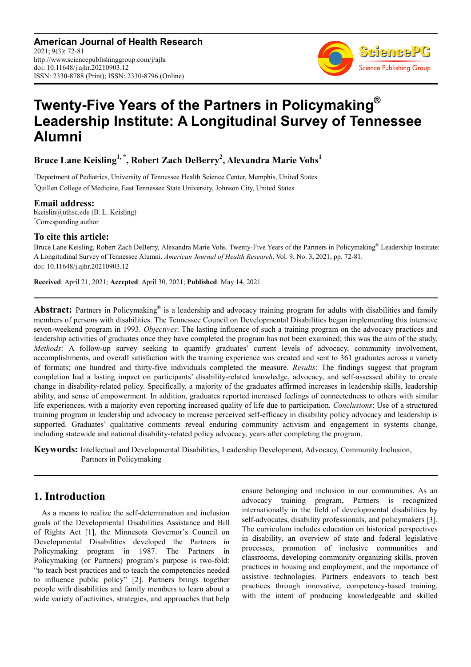**American Journal of Health Research** 2021; 9(3): 72-81 http://www.sciencepublishinggroup.com/j/ajhr doi: 10.11648/j.ajhr.20210903.12 ISSN: 2330-8788 (Print); ISSN: 2330-8796 (Online)



# **Twenty-Five Years of the Partners in Policymaking® Leadership Institute: A Longitudinal Survey of Tennessee Alumni**

**Bruce Lane Keisling1, \*, Robert Zach DeBerry<sup>2</sup> , Alexandra Marie Vohs<sup>1</sup>**

<sup>1</sup>Department of Pediatrics, University of Tennessee Health Science Center, Memphis, United States <sup>2</sup>Quillen College of Medicine, East Tennessee State University, Johnson City, United States

**Email address:**<br>bkeislin@uthsc.edu (B. L. Keisling) \*Corresponding author

#### **To cite this article:**

Bruce Lane Keisling, Robert Zach DeBerry, Alexandra Marie Vohs. Twenty-Five Years of the Partners in Policymaking® Leadership Institute: A Longitudinal Survey of Tennessee Alumni. *American Journal of Health Research*. Vol. 9, No. 3, 2021, pp. 72-81. doi: 10.11648/j.ajhr.20210903.12

**Received**: April 21, 2021; **Accepted**: April 30, 2021; **Published**: May 14, 2021

Abstract: Partners in Policymaking® is a leadership and advocacy training program for adults with disabilities and family members of persons with disabilities. The Tennessee Council on Developmental Disabilities began implementing this intensive seven-weekend program in 1993. *Objectives*: The lasting influence of such a training program on the advocacy practices and leadership activities of graduates once they have completed the program has not been examined; this was the aim of the study. *Methods*: A follow-up survey seeking to quantify graduates' current levels of advocacy, community involvement, accomplishments, and overall satisfaction with the training experience was created and sent to 361 graduates across a variety of formats; one hundred and thirty-five individuals completed the measure. *Results*: The findings suggest that program completion had a lasting impact on participants' disability-related knowledge, advocacy, and self-assessed ability to create change in disability-related policy. Specifically, a majority of the graduates affirmed increases in leadership skills, leadership ability, and sense of empowerment. In addition, graduates reported increased feelings of connectedness to others with similar life experiences, with a majority even reporting increased quality of life due to participation. *Conclusions*: Use of a structured training program in leadership and advocacy to increase perceived self-efficacy in disability policy advocacy and leadership is supported. Graduates' qualitative comments reveal enduring community activism and engagement in systems change, including statewide and national disability-related policy advocacy, years after completing the program.

**Keywords:** Intellectual and Developmental Disabilities, Leadership Development, Advocacy, Community Inclusion, Partners in Policymaking

# **1. Introduction**

As a means to realize the self-determination and inclusion goals of the Developmental Disabilities Assistance and Bill of Rights Act [1], the Minnesota Governor's Council on Developmental Disabilities developed the Partners in Policymaking program in 1987. The Partners in Policymaking (or Partners) program's purpose is two-fold: "to teach best practices and to teach the competencies needed to influence public policy" [2]. Partners brings together people with disabilities and family members to learn about a wide variety of activities, strategies, and approaches that help ensure belonging and inclusion in our communities. As an advocacy training program, Partners is recognized internationally in the field of developmental disabilities by self-advocates, disability professionals, and policymakers [3]. The curriculum includes education on historical perspectives in disability, an overview of state and federal legislative processes, promotion of inclusive communities and classrooms, developing community organizing skills, proven practices in housing and employment, and the importance of assistive technologies. Partners endeavors to teach best practices through innovative, competency-based training, with the intent of producing knowledgeable and skilled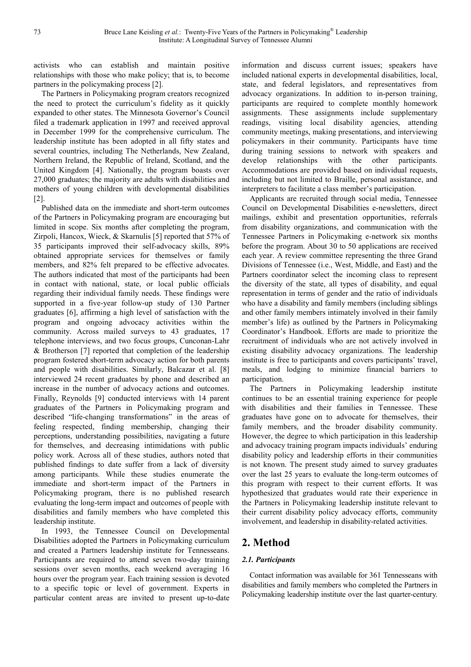activists who can establish and maintain positive relationships with those who make policy; that is, to become partners in the policymaking process [2].

The Partners in Policymaking program creators recognized the need to protect the curriculum's fidelity as it quickly expanded to other states. The Minnesota Governor's Council filed a trademark application in 1997 and received approval in December 1999 for the comprehensive curriculum. The leadership institute has been adopted in all fifty states and several countries, including The Netherlands, New Zealand, Northern Ireland, the Republic of Ireland, Scotland, and the United Kingdom [4]. Nationally, the program boasts over 27,000 graduates; the majority are adults with disabilities and mothers of young children with developmental disabilities [2].

Published data on the immediate and short-term outcomes of the Partners in Policymaking program are encouraging but limited in scope. Six months after completing the program, Zirpoli, Hancox, Wieck, & Skarnulis [5] reported that 57% of 35 participants improved their self-advocacy skills, 89% obtained appropriate services for themselves or family members, and 82% felt prepared to be effective advocates. The authors indicated that most of the participants had been in contact with national, state, or local public officials regarding their individual family needs. These findings were supported in a five-year follow-up study of 130 Partner graduates [6], affirming a high level of satisfaction with the program and ongoing advocacy activities within the community. Across mailed surveys to 43 graduates, 17 telephone interviews, and two focus groups, Cunconan-Lahr & Brotherson [7] reported that completion of the leadership program fostered short-term advocacy action for both parents and people with disabilities. Similarly, Balcazar et al. [8] interviewed 24 recent graduates by phone and described an increase in the number of advocacy actions and outcomes. Finally, Reynolds [9] conducted interviews with 14 parent graduates of the Partners in Policymaking program and described "life-changing transformations" in the areas of feeling respected, finding membership, changing their perceptions, understanding possibilities, navigating a future for themselves, and decreasing intimidations with public policy work. Across all of these studies, authors noted that published findings to date suffer from a lack of diversity among participants. While these studies enumerate the immediate and short-term impact of the Partners in Policymaking program, there is no published research evaluating the long-term impact and outcomes of people with disabilities and family members who have completed this leadership institute.

In 1993, the Tennessee Council on Developmental Disabilities adopted the Partners in Policymaking curriculum and created a Partners leadership institute for Tennesseans. Participants are required to attend seven two-day training sessions over seven months, each weekend averaging 16 hours over the program year. Each training session is devoted to a specific topic or level of government. Experts in particular content areas are invited to present up-to-date

information and discuss current issues; speakers have included national experts in developmental disabilities, local, state, and federal legislators, and representatives from advocacy organizations. In addition to in-person training, participants are required to complete monthly homework assignments. These assignments include supplementary readings, visiting local disability agencies, attending community meetings, making presentations, and interviewing policymakers in their community. Participants have time during training sessions to network with speakers and develop relationships with the other participants. Accommodations are provided based on individual requests, including but not limited to Braille, personal assistance, and interpreters to facilitate a class member's participation.

Applicants are recruited through social media, Tennessee Council on Developmental Disabilities e-newsletters, direct mailings, exhibit and presentation opportunities, referrals from disability organizations, and communication with the Tennessee Partners in Policymaking e-network six months before the program. About 30 to 50 applications are received each year. A review committee representing the three Grand Divisions of Tennessee (i.e., West, Middle, and East) and the Partners coordinator select the incoming class to represent the diversity of the state, all types of disability, and equal representation in terms of gender and the ratio of individuals who have a disability and family members (including siblings and other family members intimately involved in their family member's life) as outlined by the Partners in Policymaking Coordinator's Handbook. Efforts are made to prioritize the recruitment of individuals who are not actively involved in existing disability advocacy organizations. The leadership institute is free to participants and covers participants' travel, meals, and lodging to minimize financial barriers to participation.

The Partners in Policymaking leadership institute continues to be an essential training experience for people with disabilities and their families in Tennessee. These graduates have gone on to advocate for themselves, their family members, and the broader disability community. However, the degree to which participation in this leadership and advocacy training program impacts individuals' enduring disability policy and leadership efforts in their communities is not known. The present study aimed to survey graduates over the last 25 years to evaluate the long-term outcomes of this program with respect to their current efforts. It was hypothesized that graduates would rate their experience in the Partners in Policymaking leadership institute relevant to their current disability policy advocacy efforts, community involvement, and leadership in disability-related activities.

# **2. Method**

### *2.1. Participants*

Contact information was available for 361 Tennesseans with disabilities and family members who completed the Partners in Policymaking leadership institute over the last quarter-century.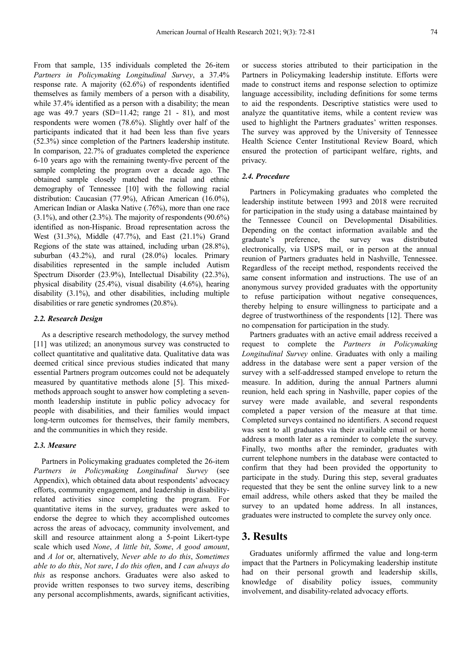From that sample, 135 individuals completed the 26-item *Partners in Policymaking Longitudinal Survey*, a 37.4% response rate. A majority (62.6%) of respondents identified themselves as family members of a person with a disability, while 37.4% identified as a person with a disability; the mean age was  $49.7$  years  $(SD=11.42;$  range  $21 - 81)$ , and most respondents were women (78.6%). Slightly over half of the participants indicated that it had been less than five years (52.3%) since completion of the Partners leadership institute. In comparison, 22.7% of graduates completed the experience 6-10 years ago with the remaining twenty-five percent of the sample completing the program over a decade ago. The obtained sample closely matched the racial and ethnic demography of Tennessee [10] with the following racial distribution: Caucasian (77.9%), African American (16.0%), American Indian or Alaska Native (.76%), more than one race (3.1%), and other (2.3%). The majority of respondents (90.6%) identified as non-Hispanic. Broad representation across the West (31.3%), Middle (47.7%), and East (21.1%) Grand Regions of the state was attained, including urban (28.8%), suburban (43.2%), and rural (28.0%) locales. Primary disabilities represented in the sample included Autism Spectrum Disorder (23.9%), Intellectual Disability (22.3%), physical disability (25.4%), visual disability (4.6%), hearing disability (3.1%), and other disabilities, including multiple disabilities or rare genetic syndromes (20.8%).

#### *2.2. Research Design*

As a descriptive research methodology, the survey method [11] was utilized; an anonymous survey was constructed to collect quantitative and qualitative data. Qualitative data was deemed critical since previous studies indicated that many essential Partners program outcomes could not be adequately measured by quantitative methods alone [5]. This mixedmethods approach sought to answer how completing a sevenmonth leadership institute in public policy advocacy for people with disabilities, and their families would impact long-term outcomes for themselves, their family members, and the communities in which they reside.

#### *2.3. Measure*

Partners in Policymaking graduates completed the 26-item *Partners in Policymaking Longitudinal Survey* (see Appendix), which obtained data about respondents' advocacy efforts, community engagement, and leadership in disabilityrelated activities since completing the program. For quantitative items in the survey, graduates were asked to endorse the degree to which they accomplished outcomes across the areas of advocacy, community involvement, and skill and resource attainment along a 5-point Likert-type scale which used *None*, *A little bit*, *Some*, *A good amount*, and *A lot* or, alternatively, *Never able to do this*, *Sometimes able to do this*, *Not sure*, *I do this often*, and *I can always do this* as response anchors. Graduates were also asked to provide written responses to two survey items, describing any personal accomplishments, awards, significant activities, or success stories attributed to their participation in the Partners in Policymaking leadership institute. Efforts were made to construct items and response selection to optimize language accessibility, including definitions for some terms to aid the respondents. Descriptive statistics were used to analyze the quantitative items, while a content review was used to highlight the Partners graduates' written responses. The survey was approved by the University of Tennessee Health Science Center Institutional Review Board, which ensured the protection of participant welfare, rights, and privacy.

#### *2.4. Procedure*

Partners in Policymaking graduates who completed the leadership institute between 1993 and 2018 were recruited for participation in the study using a database maintained by the Tennessee Council on Developmental Disabilities. Depending on the contact information available and the graduate's preference, the survey was distributed electronically, via USPS mail, or in person at the annual reunion of Partners graduates held in Nashville, Tennessee. Regardless of the receipt method, respondents received the same consent information and instructions. The use of an anonymous survey provided graduates with the opportunity to refuse participation without negative consequences, thereby helping to ensure willingness to participate and a degree of trustworthiness of the respondents [12]. There was no compensation for participation in the study.

Partners graduates with an active email address received a request to complete the *Partners in Policymaking Longitudinal Survey* online. Graduates with only a mailing address in the database were sent a paper version of the survey with a self-addressed stamped envelope to return the measure. In addition, during the annual Partners alumni reunion, held each spring in Nashville, paper copies of the survey were made available, and several respondents completed a paper version of the measure at that time. Completed surveys contained no identifiers. A second request was sent to all graduates via their available email or home address a month later as a reminder to complete the survey. Finally, two months after the reminder, graduates with current telephone numbers in the database were contacted to confirm that they had been provided the opportunity to participate in the study. During this step, several graduates requested that they be sent the online survey link to a new email address, while others asked that they be mailed the survey to an updated home address. In all instances, graduates were instructed to complete the survey only once.

# **3. Results**

Graduates uniformly affirmed the value and long-term impact that the Partners in Policymaking leadership institute had on their personal growth and leadership skills, knowledge of disability policy issues, community involvement, and disability-related advocacy efforts.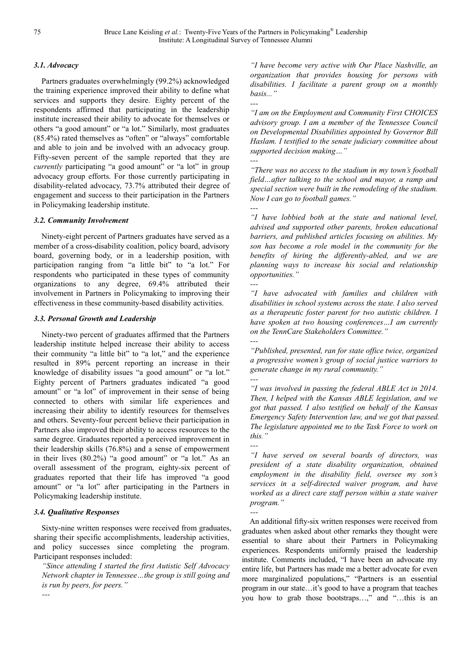#### *3.1. Advocacy*

Partners graduates overwhelmingly (99.2%) acknowledged the training experience improved their ability to define what services and supports they desire. Eighty percent of the respondents affirmed that participating in the leadership institute increased their ability to advocate for themselves or others "a good amount" or "a lot." Similarly, most graduates (85.4%) rated themselves as "often" or "always" comfortable and able to join and be involved with an advocacy group. Fifty-seven percent of the sample reported that they are *currently* participating "a good amount" or "a lot" in group advocacy group efforts. For those currently participating in disability-related advocacy, 73.7% attributed their degree of engagement and success to their participation in the Partners in Policymaking leadership institute.

#### *3.2. Community Involvement*

Ninety-eight percent of Partners graduates have served as a member of a cross-disability coalition, policy board, advisory board, governing body, or in a leadership position, with participation ranging from "a little bit" to "a lot." For respondents who participated in these types of community organizations to any degree, 69.4% attributed their involvement in Partners in Policymaking to improving their effectiveness in these community-based disability activities.

#### *3.3. Personal Growth and Leadership*

Ninety-two percent of graduates affirmed that the Partners leadership institute helped increase their ability to access their community "a little bit" to "a lot," and the experience resulted in 89% percent reporting an increase in their knowledge of disability issues "a good amount" or "a lot." Eighty percent of Partners graduates indicated "a good amount" or "a lot" of improvement in their sense of being connected to others with similar life experiences and increasing their ability to identify resources for themselves and others. Seventy-four percent believe their participation in Partners also improved their ability to access resources to the same degree. Graduates reported a perceived improvement in their leadership skills (76.8%) and a sense of empowerment in their lives (80.2%) "a good amount" or "a lot." As an overall assessment of the program, eighty-six percent of graduates reported that their life has improved "a good amount" or "a lot" after participating in the Partners in Policymaking leadership institute.

### *3.4. Qualitative Responses*

*---* 

Sixty-nine written responses were received from graduates, sharing their specific accomplishments, leadership activities, and policy successes since completing the program. Participant responses included:

*"Since attending I started the first Autistic Self Advocacy Network chapter in Tennessee…the group is still going and is run by peers, for peers."* 

*"I have become very active with Our Place Nashville, an organization that provides housing for persons with disabilities. I facilitate a parent group on a monthly basis..." ---* 

*"I am on the Employment and Community First CHOICES advisory group. I am a member of the Tennessee Council on Developmental Disabilities appointed by Governor Bill Haslam. I testified to the senate judiciary committee about supported decision making…"* 

*--- "There was no access to the stadium in my town's football field…after talking to the school and mayor, a ramp and special section were built in the remodeling of the stadium. Now I can go to football games."* 

*--- "I have lobbied both at the state and national level, advised and supported other parents, broken educational barriers, and published articles focusing on abilities. My son has become a role model in the community for the benefits of hiring the differently-abled, and we are planning ways to increase his social and relationship opportunities."* 

*--- "I have advocated with families and children with disabilities in school systems across the state. I also served as a therapeutic foster parent for two autistic children. I have spoken at two housing conferences…I am currently on the TennCare Stakeholders Committee." ---* 

*"Published, presented, ran for state office twice, organized a progressive women's group of social justice warriors to generate change in my rural community." ---* 

*"I was involved in passing the federal ABLE Act in 2014. Then, I helped with the Kansas ABLE legislation, and we got that passed. I also testified on behalf of the Kansas Emergency Safety Intervention law, and we got that passed. The legislature appointed me to the Task Force to work on this."* 

*---* 

*---* 

*"I have served on several boards of directors, was president of a state disability organization, obtained employment in the disability field, oversee my son's services in a self-directed waiver program, and have worked as a direct care staff person within a state waiver program."* 

An additional fifty-six written responses were received from graduates when asked about other remarks they thought were essential to share about their Partners in Policymaking experiences. Respondents uniformly praised the leadership institute. Comments included, "I have been an advocate my entire life, but Partners has made me a better advocate for even more marginalized populations," "Partners is an essential program in our state…it's good to have a program that teaches you how to grab those bootstraps…," and "…this is an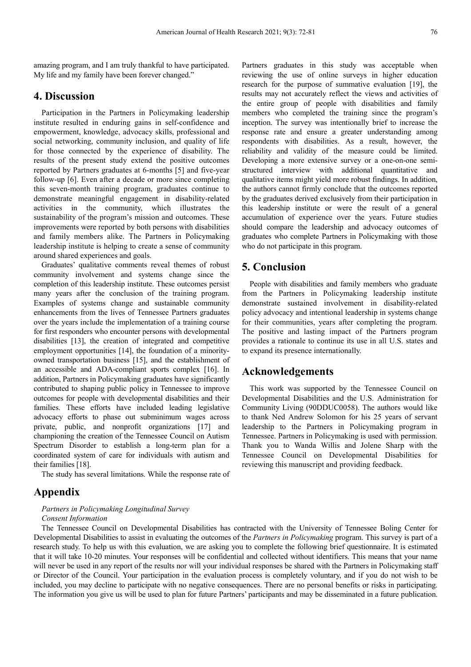amazing program, and I am truly thankful to have participated. My life and my family have been forever changed."

# **4. Discussion**

Participation in the Partners in Policymaking leadership institute resulted in enduring gains in self-confidence and empowerment, knowledge, advocacy skills, professional and social networking, community inclusion, and quality of life for those connected by the experience of disability. The results of the present study extend the positive outcomes reported by Partners graduates at 6-months [5] and five-year follow-up [6]. Even after a decade or more since completing this seven-month training program, graduates continue to demonstrate meaningful engagement in disability-related activities in the community, which illustrates the sustainability of the program's mission and outcomes. These improvements were reported by both persons with disabilities and family members alike. The Partners in Policymaking leadership institute is helping to create a sense of community around shared experiences and goals.

Graduates' qualitative comments reveal themes of robust community involvement and systems change since the completion of this leadership institute. These outcomes persist many years after the conclusion of the training program. Examples of systems change and sustainable community enhancements from the lives of Tennessee Partners graduates over the years include the implementation of a training course for first responders who encounter persons with developmental disabilities [13], the creation of integrated and competitive employment opportunities [14], the foundation of a minorityowned transportation business [15], and the establishment of an accessible and ADA-compliant sports complex [16]. In addition, Partners in Policymaking graduates have significantly contributed to shaping public policy in Tennessee to improve outcomes for people with developmental disabilities and their families. These efforts have included leading legislative advocacy efforts to phase out subminimum wages across private, public, and nonprofit organizations [17] and championing the creation of the Tennessee Council on Autism Spectrum Disorder to establish a long-term plan for a coordinated system of care for individuals with autism and their families [18].

The study has several limitations. While the response rate of

# **Appendix**

#### *Partners in Policymaking Longitudinal Survey Consent Information*

Partners graduates in this study was acceptable when reviewing the use of online surveys in higher education research for the purpose of summative evaluation [19], the results may not accurately reflect the views and activities of the entire group of people with disabilities and family members who completed the training since the program's inception. The survey was intentionally brief to increase the response rate and ensure a greater understanding among respondents with disabilities. As a result, however, the reliability and validity of the measure could be limited. Developing a more extensive survey or a one-on-one semistructured interview with additional quantitative and qualitative items might yield more robust findings. In addition, the authors cannot firmly conclude that the outcomes reported by the graduates derived exclusively from their participation in this leadership institute or were the result of a general accumulation of experience over the years. Future studies should compare the leadership and advocacy outcomes of graduates who complete Partners in Policymaking with those who do not participate in this program.

# **5. Conclusion**

People with disabilities and family members who graduate from the Partners in Policymaking leadership institute demonstrate sustained involvement in disability-related policy advocacy and intentional leadership in systems change for their communities, years after completing the program. The positive and lasting impact of the Partners program provides a rationale to continue its use in all U.S. states and to expand its presence internationally.

### **Acknowledgements**

This work was supported by the Tennessee Council on Developmental Disabilities and the U.S. Administration for Community Living (90DDUC0058). The authors would like to thank Ned Andrew Solomon for his 25 years of servant leadership to the Partners in Policymaking program in Tennessee. Partners in Policymaking is used with permission. Thank you to Wanda Willis and Jolene Sharp with the Tennessee Council on Developmental Disabilities for reviewing this manuscript and providing feedback.

The Tennessee Council on Developmental Disabilities has contracted with the University of Tennessee Boling Center for Developmental Disabilities to assist in evaluating the outcomes of the *Partners in Policymaking* program. This survey is part of a research study. To help us with this evaluation, we are asking you to complete the following brief questionnaire. It is estimated that it will take 10-20 minutes. Your responses will be confidential and collected without identifiers. This means that your name will never be used in any report of the results nor will your individual responses be shared with the Partners in Policymaking staff or Director of the Council. Your participation in the evaluation process is completely voluntary, and if you do not wish to be included, you may decline to participate with no negative consequences. There are no personal benefits or risks in participating. The information you give us will be used to plan for future Partners' participants and may be disseminated in a future publication.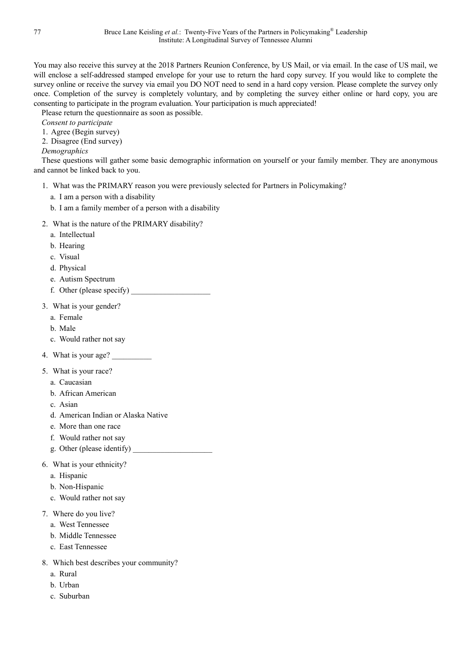You may also receive this survey at the 2018 Partners Reunion Conference, by US Mail, or via email. In the case of US mail, we will enclose a self-addressed stamped envelope for your use to return the hard copy survey. If you would like to complete the survey online or receive the survey via email you DO NOT need to send in a hard copy version. Please complete the survey only once. Completion of the survey is completely voluntary, and by completing the survey either online or hard copy, you are consenting to participate in the program evaluation. Your participation is much appreciated!

Please return the questionnaire as soon as possible.

*Consent to participate* 

1. Agree (Begin survey)

2. Disagree (End survey)

*Demographics* 

These questions will gather some basic demographic information on yourself or your family member. They are anonymous and cannot be linked back to you.

- 1. What was the PRIMARY reason you were previously selected for Partners in Policymaking?
	- a. I am a person with a disability
	- b. I am a family member of a person with a disability
- 2. What is the nature of the PRIMARY disability?
	- a. Intellectual
	- b. Hearing
	- c. Visual
	- d. Physical
	- e. Autism Spectrum
	- f. Other (please specify)
- 3. What is your gender?
	- a. Female
	- b. Male
	- c. Would rather not say
- 4. What is your age?
- 5. What is your race?
	- a. Caucasian
	- b. African American
	- c. Asian
	- d. American Indian or Alaska Native
	- e. More than one race
	- f. Would rather not say
	- g. Other (please identify)
- 6. What is your ethnicity?
	- a. Hispanic
	- b. Non-Hispanic
	- c. Would rather not say
- 7. Where do you live?
	- a. West Tennessee
	- b. Middle Tennessee
	- c. East Tennessee
- 8. Which best describes your community?
	- a. Rural
	- b. Urban
	- c. Suburban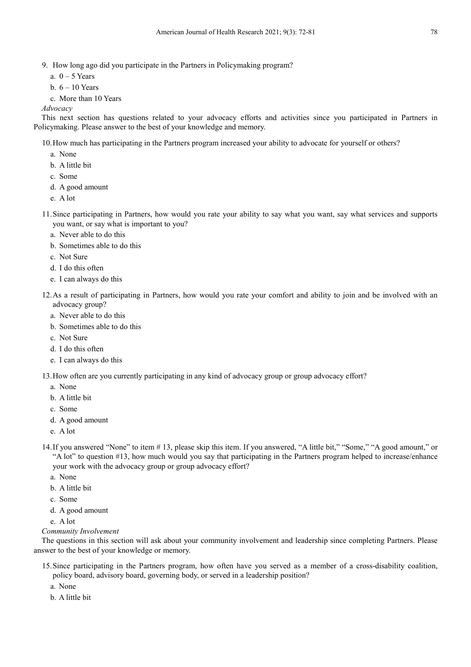9. How long ago did you participate in the Partners in Policymaking program?

- a.  $0 5$  Years
- b.  $6 10$  Years
- c. More than 10 Years

*Advocacy* 

This next section has questions related to your advocacy efforts and activities since you participated in Partners in Policymaking. Please answer to the best of your knowledge and memory.

10.How much has participating in the Partners program increased your ability to advocate for yourself or others?

- a. None
- b. A little bit
- c. Some
- d. A good amount
- e. A lot
- 11.Since participating in Partners, how would you rate your ability to say what you want, say what services and supports you want, or say what is important to you?
	- a. Never able to do this
	- b. Sometimes able to do this
	- c. Not Sure
	- d. I do this often
	- e. I can always do this
- 12.As a result of participating in Partners, how would you rate your comfort and ability to join and be involved with an advocacy group?
	- a. Never able to do this
	- b. Sometimes able to do this
	- c. Not Sure
	- d. I do this often
	- e. I can always do this

13.How often are you currently participating in any kind of advocacy group or group advocacy effort?

- a. None
- b. A little bit
- c. Some
- d. A good amount
- e. A lot
- 14.If you answered "None" to item # 13, please skip this item. If you answered, "A little bit," "Some," "A good amount," or "A lot" to question #13, how much would you say that participating in the Partners program helped to increase/enhance your work with the advocacy group or group advocacy effort?
	- a. None
	- b. A little bit
	- c. Some
	- d. A good amount
	- e. A lot

### *Community Involvement*

The questions in this section will ask about your community involvement and leadership since completing Partners. Please answer to the best of your knowledge or memory.

15.Since participating in the Partners program, how often have you served as a member of a cross-disability coalition, policy board, advisory board, governing body, or served in a leadership position?

a. None

b. A little bit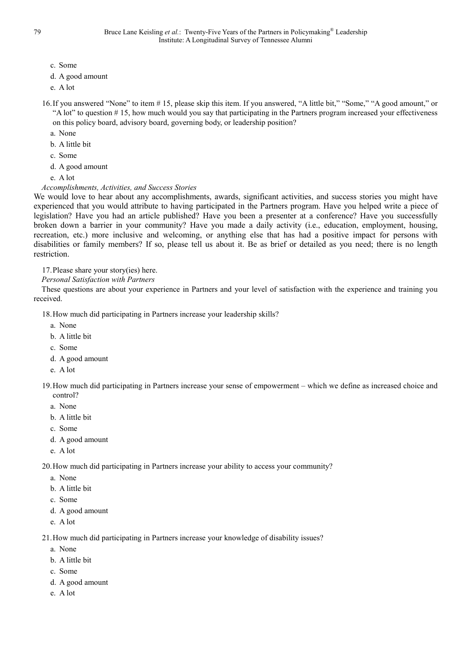- c. Some
- d. A good amount
- e. A lot
- 16.If you answered "None" to item # 15, please skip this item. If you answered, "A little bit," "Some," "A good amount," or "A lot" to question # 15, how much would you say that participating in the Partners program increased your effectiveness on this policy board, advisory board, governing body, or leadership position?
	- a. None
	- b. A little bit
	- c. Some
	- d. A good amount
	- e. A lot
- *Accomplishments, Activities, and Success Stories*

We would love to hear about any accomplishments, awards, significant activities, and success stories you might have experienced that you would attribute to having participated in the Partners program. Have you helped write a piece of legislation? Have you had an article published? Have you been a presenter at a conference? Have you successfully broken down a barrier in your community? Have you made a daily activity (i.e., education, employment, housing, recreation, etc.) more inclusive and welcoming, or anything else that has had a positive impact for persons with disabilities or family members? If so, please tell us about it. Be as brief or detailed as you need; there is no length restriction.

17.Please share your story(ies) here.

*Personal Satisfaction with Partners* 

These questions are about your experience in Partners and your level of satisfaction with the experience and training you received.

18.How much did participating in Partners increase your leadership skills?

- a. None
- b. A little bit
- c. Some
- d. A good amount
- e. A lot

19.How much did participating in Partners increase your sense of empowerment – which we define as increased choice and control?

- a. None
- b. A little bit
- c. Some
- d. A good amount
- e. A lot

20.How much did participating in Partners increase your ability to access your community?

- a. None
- b. A little bit
- c. Some
- d. A good amount
- e. A lot

21.How much did participating in Partners increase your knowledge of disability issues?

- a. None
- b. A little bit
- c. Some
- d. A good amount
- e. A lot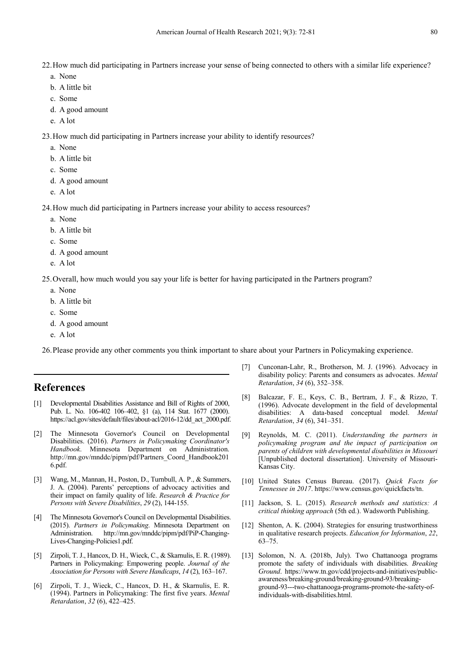22.How much did participating in Partners increase your sense of being connected to others with a similar life experience?

- a. None
- b. A little bit
- c. Some
- d. A good amount
- e. A lot

23.How much did participating in Partners increase your ability to identify resources?

- a. None
- b. A little bit
- c. Some
- d. A good amount
- e. A lot

24.How much did participating in Partners increase your ability to access resources?

- a. None
- b. A little bit
- c. Some
- d. A good amount
- e. A lot

25.Overall, how much would you say your life is better for having participated in the Partners program?

- a. None
- b. A little bit
- c. Some
- d. A good amount
- e. A lot

26.Please provide any other comments you think important to share about your Partners in Policymaking experience.

# **References**

- [1] Developmental Disabilities Assistance and Bill of Rights of 2000, Pub. L. No. 106-402 106–402, §1 (a), 114 Stat. 1677 (2000). https://acl.gov/sites/default/files/about-acl/2016-12/dd\_act\_2000.pdf.
- [2] The Minnesota Governor's Council on Developmental Disabilities. (2016). *Partners in Policymaking Coordinator's Handbook*. Minnesota Department on Administration. http://mn.gov/mnddc/pipm/pdf/Partners\_Coord\_Handbook201 6.pdf.
- [3] Wang, M., Mannan, H., Poston, D., Turnbull, A. P., & Summers, J. A. (2004). Parents' perceptions of advocacy activities and their impact on family quality of life. *Research & Practice for Persons with Severe Disabilities*, *29* (2), 144-155.
- [4] The Minnesota Governor's Council on Developmental Disabilities. (2015). *Partners in Policymaking*. Minnesota Department on Administration. http://mn.gov/mnddc/pipm/pdf/PiP-Changing-Lives-Changing-Policies1.pdf.
- [5] Zirpoli, T. J., Hancox, D. H., Wieck, C., & Skarnulis, E. R. (1989). Partners in Policymaking: Empowering people. *Journal of the Association for Persons with Severe Handicaps*, *14* (2), 163–167.
- [6] Zirpoli, T. J., Wieck, C., Hancox, D. H., & Skarnulis, E. R. (1994). Partners in Policymaking: The first five years. *Mental Retardation*, *32* (6), 422–425.
- [7] Cunconan-Lahr, R., Brotherson, M. J. (1996). Advocacy in disability policy: Parents and consumers as advocates. *Mental Retardation*, *34* (6), 352–358.
- [8] Balcazar, F. E., Keys, C. B., Bertram, J. F., & Rizzo, T. (1996). Advocate development in the field of developmental disabilities: A data-based conceptual model. *Mental Retardation*, *34* (6), 341–351.
- [9] Reynolds, M. C. (2011). *Understanding the partners in policymaking program and the impact of participation on parents of children with developmental disabilities in Missouri* [Unpublished doctoral dissertation]. University of Missouri-Kansas City.
- [10] United States Census Bureau. (2017). *Quick Facts for Tennessee in 2017*. https://www.census.gov/quickfacts/tn.
- [11] Jackson, S. L. (2015). *Research methods and statistics: A critical thinking approach* (5th ed.). Wadsworth Publishing.
- [12] Shenton, A. K. (2004). Strategies for ensuring trustworthiness in qualitative research projects. *Education for Information*, *22*, 63–75.
- [13] Solomon, N. A. (2018b, July). Two Chattanooga programs promote the safety of individuals with disabilities. *Breaking Ground*. https://www.tn.gov/cdd/projects-and-initiatives/publicawareness/breaking-ground/breaking-ground-93/breakingground-93---two-chattanooga-programs-promote-the-safety-ofindividuals-with-disabilities.html.